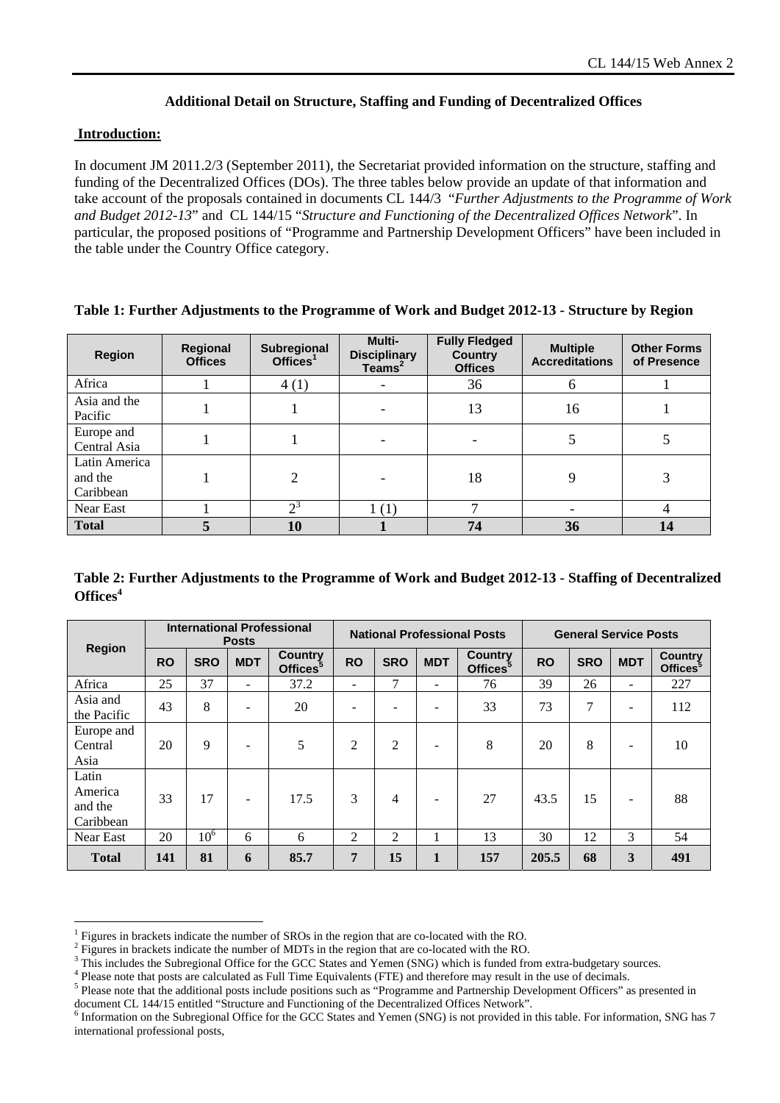## **Additional Detail on Structure, Staffing and Funding of Decentralized Offices**

## **Introduction:**

 $\overline{a}$ 

In document JM 2011.2/3 (September 2011), the Secretariat provided information on the structure, staffing and funding of the Decentralized Offices (DOs). The three tables below provide an update of that information and take account of the proposals contained in documents CL 144/3 "*Further Adjustments to the Programme of Work and Budget 2012-13*" and CL 144/15 "*Structure and Functioning of the Decentralized Offices Network*". In particular, the proposed positions of "Programme and Partnership Development Officers" have been included in the table under the Country Office category.

| <b>Region</b>                         | Regional<br><b>Offices</b> | <b>Subregional</b><br>Offices <sup>1</sup> | Multi-<br><b>Disciplinary</b><br>Teams <sup>2</sup> | <b>Fully Fledged</b><br><b>Country</b><br><b>Offices</b> | <b>Multiple</b><br><b>Accreditations</b> | <b>Other Forms</b><br>of Presence |
|---------------------------------------|----------------------------|--------------------------------------------|-----------------------------------------------------|----------------------------------------------------------|------------------------------------------|-----------------------------------|
| Africa                                |                            | 4(1)                                       |                                                     | 36                                                       | 6                                        |                                   |
| Asia and the<br>Pacific               |                            |                                            |                                                     | 13                                                       | 16                                       |                                   |
| Europe and<br>Central Asia            |                            |                                            |                                                     |                                                          |                                          |                                   |
| Latin America<br>and the<br>Caribbean |                            | $\overline{c}$                             |                                                     | 18                                                       | 9                                        | 3                                 |
| Near East                             |                            | ഹ                                          | 1(1)                                                |                                                          |                                          |                                   |
| <b>Total</b>                          |                            | 10                                         |                                                     | 74                                                       | 36                                       | 14                                |

## **Table 1: Further Adjustments to the Programme of Work and Budget 2012-13 - Structure by Region**

| Table 2: Further Adjustments to the Programme of Work and Budget 2012-13 - Staffing of Decentralized |  |
|------------------------------------------------------------------------------------------------------|--|
| Offices <sup>4</sup>                                                                                 |  |

|                                          | <b>International Professional</b><br><b>Posts</b> |                 |                          | <b>National Professional Posts</b>     |                |            |            | <b>General Service Posts</b>           |           |                |                          |                                        |
|------------------------------------------|---------------------------------------------------|-----------------|--------------------------|----------------------------------------|----------------|------------|------------|----------------------------------------|-----------|----------------|--------------------------|----------------------------------------|
| <b>Region</b>                            | <b>RO</b>                                         | <b>SRO</b>      | <b>MDT</b>               | <b>Country</b><br>Offices <sup>3</sup> | <b>RO</b>      | <b>SRO</b> | <b>MDT</b> | <b>Country</b><br>Offices <sup>3</sup> | <b>RO</b> | <b>SRO</b>     | <b>MDT</b>               | <b>Country</b><br>Offices <sup>5</sup> |
| Africa                                   | 25                                                | 37              | $\overline{\phantom{0}}$ | 37.2                                   |                | 7          |            | 76                                     | 39        | 26             | ۰                        | 227                                    |
| Asia and<br>the Pacific                  | 43                                                | 8               |                          | 20                                     |                |            |            | 33                                     | 73        | $\overline{7}$ | -                        | 112                                    |
| Europe and<br>Central<br>Asia            | 20                                                | 9               |                          | 5                                      | $\overline{c}$ | 2          |            | 8                                      | 20        | 8              | -                        | 10                                     |
| Latin<br>America<br>and the<br>Caribbean | 33                                                | 17              |                          | 17.5                                   | 3              | 4          |            | 27                                     | 43.5      | 15             | $\overline{\phantom{a}}$ | 88                                     |
| Near East                                | 20                                                | 10 <sup>6</sup> | 6                        | 6                                      | 2              | 2          |            | 13                                     | 30        | 12             | 3                        | 54                                     |
| <b>Total</b>                             | 141                                               | 81              | 6                        | 85.7                                   | 7              | 15         | 1          | 157                                    | 205.5     | 68             | 3                        | 491                                    |

<sup>1</sup> Figures in brackets indicate the number of SROs in the region that are co-located with the RO.

<sup>2</sup> Figures in brackets indicate the number of MDTs in the region that are co-located with the RO. 3

<sup>&</sup>lt;sup>3</sup> This includes the Subregional Office for the GCC States and Yemen (SNG) which is funded from extra-budgetary sources.  $\frac{4}{3}$  Please note that posts are calculated as Full Time Equivalents (ETE) and therefore may re

Please note that posts are calculated as Full Time Equivalents (FTE) and therefore may result in the use of decimals.

<sup>&</sup>lt;sup>5</sup> Please note that the additional posts include positions such as "Programme and Partnership Development Officers" as presented in document CL 144/15 entitled "Structure and Functioning of the Decentralized Offices Network".

 $<sup>6</sup>$  Information on the Subregional Office for the GCC States and Yemen (SNG) is not provided in this table. For information, SNG has 7</sup> international professional posts,